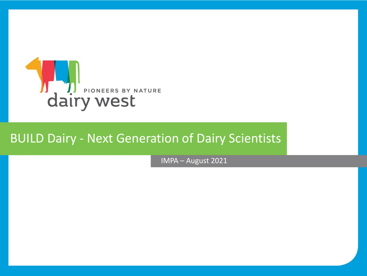

### BUILD Dairy - Next Generation of Dairy Scientists

IMPA – August 2021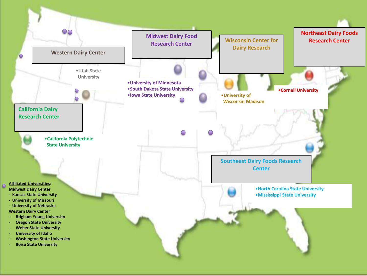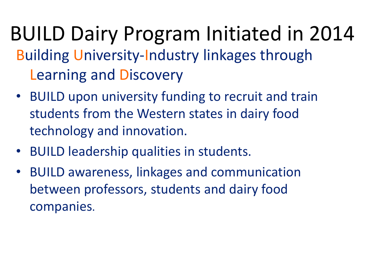- BUILD Dairy Program Initiated in 2014 Building University-Industry linkages through Learning and Discovery
	- BUILD upon university funding to recruit and train students from the Western states in dairy food technology and innovation.
	- BUILD leadership qualities in students.
	- BUILD awareness, linkages and communication between professors, students and dairy food companies.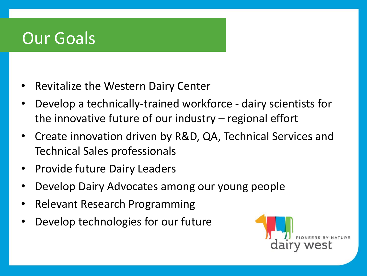## Our Goals

- Revitalize the Western Dairy Center
- Develop a technically-trained workforce dairy scientists for the innovative future of our industry – regional effort
- Create innovation driven by R&D, QA, Technical Services and Technical Sales professionals
- Provide future Dairy Leaders
- Develop Dairy Advocates among our young people
- Relevant Research Programming
- Develop technologies for our future

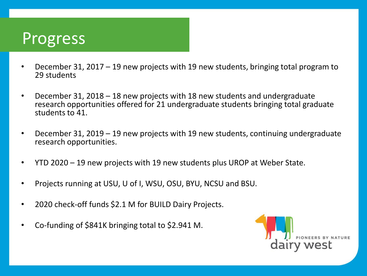## Progress

- December 31, 2017 19 new projects with 19 new students, bringing total program to 29 students
- December 31, 2018 18 new projects with 18 new students and undergraduate research opportunities offered for 21 undergraduate students bringing total graduate students to 41.
- December 31, 2019 19 new projects with 19 new students, continuing undergraduate research opportunities.
- YTD 2020 19 new projects with 19 new students plus UROP at Weber State.
- Projects running at USU, U of I, WSU, OSU, BYU, NCSU and BSU.
- 2020 check-off funds \$2.1 M for BUILD Dairy Projects.
- Co-funding of \$841K bringing total to \$2.941 M.

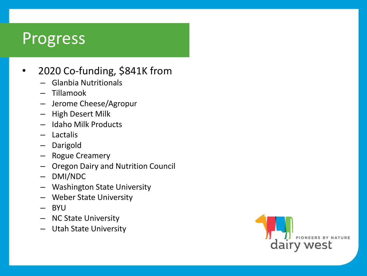### **Progress**

#### • 2020 Co-funding, \$841K from

- Glanbia Nutritionals
- Tillamook
- Jerome Cheese/Agropur
- High Desert Milk
- Idaho Milk Products
- Lactalis
- Darigold
- Rogue Creamery
- Oregon Dairy and Nutrition Council
- DMI/NDC
- Washington State University
- Weber State University
- BYU
- NC State University
- Utah State University

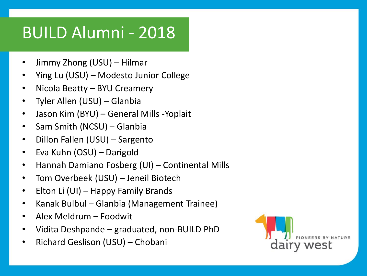# BUILD Alumni - 2018

- Jimmy Zhong (USU) Hilmar
- Ying Lu (USU) Modesto Junior College
- Nicola Beatty BYU Creamery
- Tyler Allen (USU) Glanbia
- Jason Kim (BYU) General Mills -Yoplait
- Sam Smith (NCSU) Glanbia
- Dillon Fallen (USU) Sargento
- Eva Kuhn (OSU) Darigold
- Hannah Damiano Fosberg (UI) Continental Mills
- Tom Overbeek (USU) Jeneil Biotech
- Elton Li (UI) Happy Family Brands
- Kanak Bulbul Glanbia (Management Trainee)
- Alex Meldrum Foodwit
- Vidita Deshpande graduated, non-BUILD PhD
- Richard Geslison (USU) Chobani

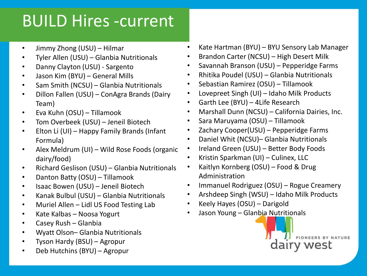# BUILD Hires -current

- Jimmy Zhong (USU) Hilmar
- Tyler Allen (USU) Glanbia Nutritionals
- Danny Clayton (USU) Sargento
- Jason Kim (BYU) General Mills
- Sam Smith (NCSU) Glanbia Nutritionals
- Dillon Fallen (USU) ConAgra Brands (Dairy Team)
- Eva Kuhn (OSU) Tillamook
- Tom Overbeek (USU) Jeneil Biotech
- Elton Li (UI) Happy Family Brands (Infant Formula)
- Alex Meldrum (UI) Wild Rose Foods (organic dairy/food)
- Richard Geslison (USU) Glanbia Nutritionals
- Danton Batty (OSU) Tillamook
- Isaac Bowen (USU) Jeneil Biotech
- Kanak Bulbul (USU) Glanbia Nutritionals
- Muriel Allen Lidl US Food Testing Lab
- Kate Kalbas Noosa Yogurt
- Casey Rush Glanbia
- Wyatt Olson– Glanbia Nutritionals
- Tyson Hardy (BSU) Agropur
- Deb Hutchins (BYU) Agropur
- Kate Hartman (BYU) BYU Sensory Lab Manager
- Brandon Carter (NCSU) High Desert Milk
- Savannah Branson (USU) Pepperidge Farms
- Rhitika Poudel (USU) Glanbia Nutritionals
- Sebastian Ramirez (OSU) Tillamook
- Lovepreet Singh (UI) Idaho Milk Products
- Garth Lee (BYU) 4Life Research
- Marshall Dunn (NCSU) California Dairies, Inc.
- Sara Maruyama (OSU) Tillamook
- Zachary Cooper(USU) Pepperidge Farms
- Daniel Whit (NCSU)– Glanbia Nutritionals
- Ireland Green (USU) Better Body Foods
- Kristin Sparkman (UI) Culinex, LLC
- Kaitlyn Kornberg (OSU) Food & Drug Administration
- Immanuel Rodriguez (OSU) Rogue Creamery
- Arshdeep Singh (WSU) Idaho Milk Products
- Keely Hayes (OSU) Darigold
- Jason Young Glanbia Nutritionals